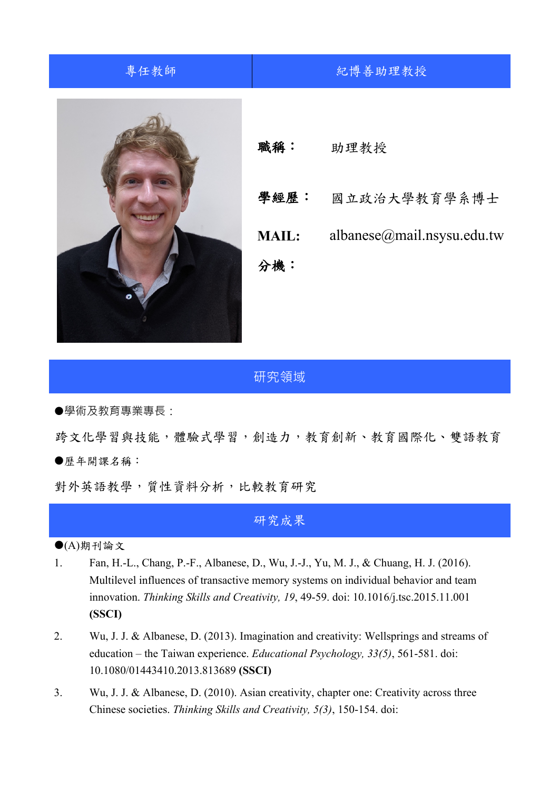## 專任教師 | 紀博善助理教授 職稱: 助理教授 學經歷: 國立政治大學教育學系博士 **MAIL:** albanese@mail.nsysu.edu.tw 分機:

## 研究領域

學術及教育專業專長:

跨文化學習與技能,體驗式學習,創造力,教育創新、教育國際化、雙語教育 歷年開課名稱:

對外英語教學,質性資料分析,比較教育研究

## 研究成果

 $\bigodot$ (A)期刊論文

- 1. Fan, H.-L., Chang, P.-F., Albanese, D., Wu, J.-J., Yu, M. J., & Chuang, H. J. (2016). Multilevel influences of transactive memory systems on individual behavior and team innovation. *Thinking Skills and Creativity, 19*, 49-59. doi: 10.1016/j.tsc.2015.11.001 **(SSCI)**
- 2. Wu, J. J. & Albanese, D. (2013). Imagination and creativity: Wellsprings and streams of education – the Taiwan experience. *Educational Psychology, 33(5)*, 561-581. doi: 10.1080/01443410.2013.813689 **(SSCI)**
- 3. Wu, J. J. & Albanese, D. (2010). Asian creativity, chapter one: Creativity across three Chinese societies. *Thinking Skills and Creativity, 5(3)*, 150-154. doi: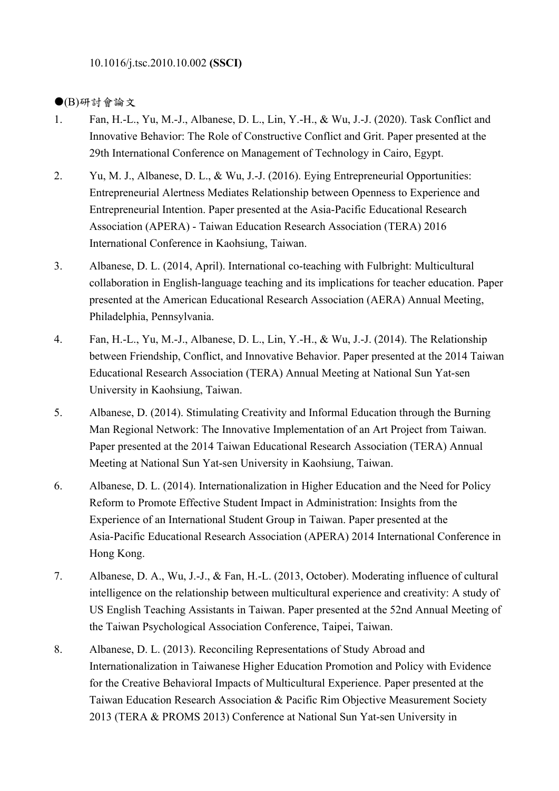10.1016/j.tsc.2010.10.002 **(SSCI)**

## (B)研討會論文

- 1. Fan, H.-L., Yu, M.-J., Albanese, D. L., Lin, Y.-H., & Wu, J.-J. (2020). Task Conflict and Innovative Behavior: The Role of Constructive Conflict and Grit. Paper presented at the 29th International Conference on Management of Technology in Cairo, Egypt.
- 2. Yu, M. J., Albanese, D. L., & Wu, J.-J. (2016). Eying Entrepreneurial Opportunities: Entrepreneurial Alertness Mediates Relationship between Openness to Experience and Entrepreneurial Intention. Paper presented at the Asia-Pacific Educational Research Association (APERA) - Taiwan Education Research Association (TERA) 2016 International Conference in Kaohsiung, Taiwan.
- 3. Albanese, D. L. (2014, April). International co-teaching with Fulbright: Multicultural collaboration in English-language teaching and its implications for teacher education. Paper presented at the American Educational Research Association (AERA) Annual Meeting, Philadelphia, Pennsylvania.
- 4. Fan, H.-L., Yu, M.-J., Albanese, D. L., Lin, Y.-H., & Wu, J.-J. (2014). The Relationship between Friendship, Conflict, and Innovative Behavior. Paper presented at the 2014 Taiwan Educational Research Association (TERA) Annual Meeting at National Sun Yat-sen University in Kaohsiung, Taiwan.
- 5. Albanese, D. (2014). Stimulating Creativity and Informal Education through the Burning Man Regional Network: The Innovative Implementation of an Art Project from Taiwan. Paper presented at the 2014 Taiwan Educational Research Association (TERA) Annual Meeting at National Sun Yat-sen University in Kaohsiung, Taiwan.
- 6. Albanese, D. L. (2014). Internationalization in Higher Education and the Need for Policy Reform to Promote Effective Student Impact in Administration: Insights from the Experience of an International Student Group in Taiwan. Paper presented at the Asia-Pacific Educational Research Association (APERA) 2014 International Conference in Hong Kong.
- 7. Albanese, D. A., Wu, J.-J., & Fan, H.-L. (2013, October). Moderating influence of cultural intelligence on the relationship between multicultural experience and creativity: A study of US English Teaching Assistants in Taiwan. Paper presented at the 52nd Annual Meeting of the Taiwan Psychological Association Conference, Taipei, Taiwan.
- 8. Albanese, D. L. (2013). Reconciling Representations of Study Abroad and Internationalization in Taiwanese Higher Education Promotion and Policy with Evidence for the Creative Behavioral Impacts of Multicultural Experience. Paper presented at the Taiwan Education Research Association & Pacific Rim Objective Measurement Society 2013 (TERA & PROMS 2013) Conference at National Sun Yat-sen University in